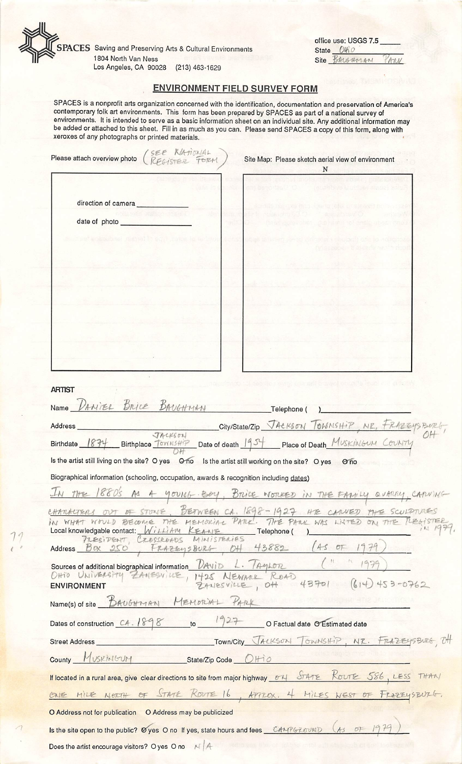

**SPACES** Saving and Preserving Arts & Cultural Environments 1804 North Van Ness

Los Angeles, CA 90028 (213) 463-1629

office use: USGS 7.5 State Otio Site BAUGHMAN ANN

## ENVIRONMENT FIELD SURVEY FORM

SPACES is a nonprofit arts organization concerned with the identification, documentation and preservation of America's contemporary folk art environments. This form has been prepared by SPACES as part of a national survey of environments. It is intended to serve as a basic information sheet on an individual site. Any additional information may be added or attached to this sheet. Fill in as much as you can. Please send SPACES a copy of this form, along with xeroxes of any photographs or printed materials.

| Please attach overview photo                                                                                                                                                                                                                                               | Site Map: Please sketch aerial view of environment<br>N |
|----------------------------------------------------------------------------------------------------------------------------------------------------------------------------------------------------------------------------------------------------------------------------|---------------------------------------------------------|
|                                                                                                                                                                                                                                                                            | TO THE REAL LINE THOSE YOU                              |
| direction of camera                                                                                                                                                                                                                                                        |                                                         |
| <b>ALCOHOL BOOK</b><br>22.<br>date of photo experience and a series of photo experience and a series of the series of the series of the series of the series of the series of the series of the series of the series of the series of the series of the seri<br><b>BSR</b> | 10an 2009 Filmi - B.B. aleks 101 ansio 400              |
| strognadas matierio schi sotos in termos son                                                                                                                                                                                                                               |                                                         |
|                                                                                                                                                                                                                                                                            |                                                         |
|                                                                                                                                                                                                                                                                            |                                                         |
|                                                                                                                                                                                                                                                                            |                                                         |
|                                                                                                                                                                                                                                                                            |                                                         |
|                                                                                                                                                                                                                                                                            |                                                         |
|                                                                                                                                                                                                                                                                            |                                                         |
|                                                                                                                                                                                                                                                                            |                                                         |
|                                                                                                                                                                                                                                                                            |                                                         |
|                                                                                                                                                                                                                                                                            | state and the second studies with the studies           |
| <b>ARTIST</b>                                                                                                                                                                                                                                                              |                                                         |
| Name DANIER BRICE BAUGHMAN                                                                                                                                                                                                                                                 | Telephone (                                             |
|                                                                                                                                                                                                                                                                            |                                                         |
| Address<br>City/State/Zip JACKSON TOMMSHIP, MP, FRAZEYSBURG,<br>Birthdate 1874 Birthplace TommsHip Date of death 1954 Place of Death MUSKINGUM COUNTY                                                                                                                      |                                                         |
| Is the artist still living on the site? O yes O no Is the artist still working on the site? O yes O no                                                                                                                                                                     |                                                         |
| Biographical information (schooling, occupation, awards & recognition including dates)                                                                                                                                                                                     |                                                         |
| THE 1880's As A young Bay, Brice Worker in THE FAMILY QUARRY, CARNING                                                                                                                                                                                                      |                                                         |
|                                                                                                                                                                                                                                                                            |                                                         |
| CHAMACTERS OUT OF STONE. BETWEEN CA. 1898-1927 HE CANVED THE SCULPTURES<br>Local knowledgable contact:<br>WILLIAM<br>KEANE<br>__ Telephone (                                                                                                                               |                                                         |
| CROSSROADS<br>PRESIDENT,                                                                                                                                                                                                                                                   |                                                         |
| FRAZEYSBURG OH 43882 (AS OF<br>Address Box 250                                                                                                                                                                                                                             | $\int$ $\frac{1}{2}$ $\frac{1}{2}$                      |
| Sources of additional biographical information <i>UAviD</i> L. AyLOR<br>OHIO UNIVERSITY ZAMESVILLE,                                                                                                                                                                        |                                                         |
| 1425 NEWARK ROAD<br><b>ENVIRONMENT</b>                                                                                                                                                                                                                                     | 43701 (614) 453-0762                                    |
| Name(s) of site BAUGAMAN MEMORIAL                                                                                                                                                                                                                                          |                                                         |
| Dates of construction CA. 1898 to 1927 O Factual date O Estimated date                                                                                                                                                                                                     |                                                         |
| <b>Street Address</b>                                                                                                                                                                                                                                                      | TOWNICIty JACKSON TOWNSHIP, NR. FRAZEYSBURG, OH         |
| County MUSKINGUM<br>State/Zip Code UH10                                                                                                                                                                                                                                    |                                                         |
|                                                                                                                                                                                                                                                                            |                                                         |
| If located in a rural area, give clear directions to site from major highway or STATE KOUTE 586, LESS THAN                                                                                                                                                                 |                                                         |
| ONE MILE NORTH OF STATE ROUTE 16, APPROX. 4 MILES WEST OF FRAZEYSBURG.                                                                                                                                                                                                     |                                                         |
| O Address not for publication  O Address may be publicized                                                                                                                                                                                                                 |                                                         |
| Is the site open to the public? Øyes O no If yes, state hours and fees CAMPGROUND (As OF 1979)                                                                                                                                                                             |                                                         |
| Does the artist encourage visitors? O yes O no MIA                                                                                                                                                                                                                         | mtoi aufi shisilgub of coni laoi aga ng                 |